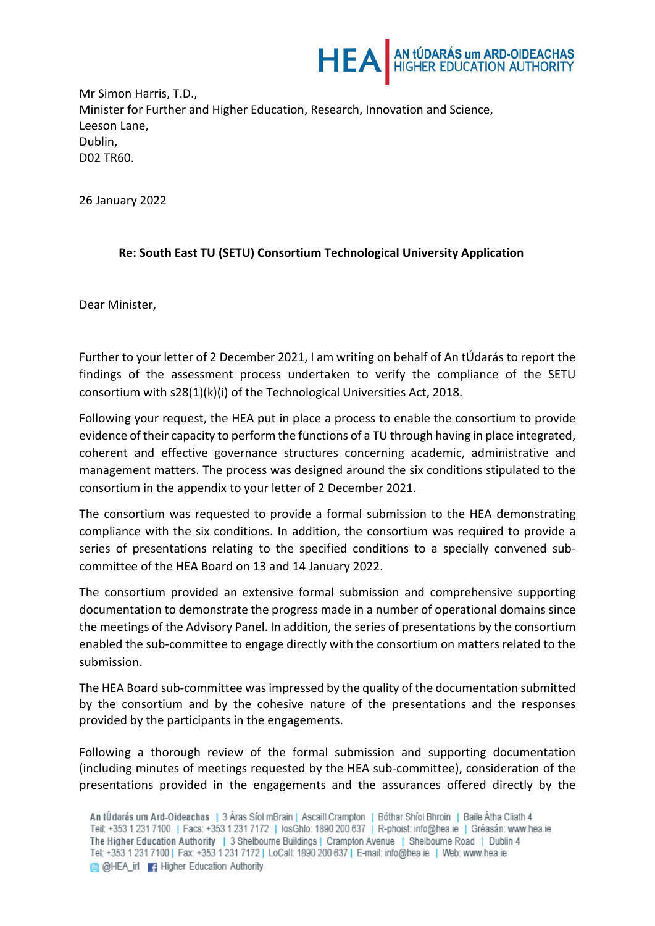

Mr Simon Harris, T.D., Minister for Further and Higher Education, Research, Innovation and Science, Leeson Lane, Dublin, D02 TR60.

26 January 2022

## **Re: South East TU (SETU) Consortium Technological University Application**

Dear Minister,

Further to your letter of 2 December 2021, I am writing on behalf of An tÚdarás to report the findings of the assessment process undertaken to verify the compliance of the SETU consortium with s28(1)(k)(i) of the Technological Universities Act, 2018.

Following your request, the HEA put in place a process to enable the consortium to provide evidence of their capacity to perform the functions of a TU through having in place integrated, coherent and effective governance structures concerning academic, administrative and management matters. The process was designed around the six conditions stipulated to the consortium in the appendix to your letter of 2 December 2021.

The consortium was requested to provide a formal submission to the HEA demonstrating compliance with the six conditions. In addition, the consortium was required to provide a series of presentations relating to the specified conditions to a specially convened subcommittee of the HEA Board on 13 and 14 January 2022.

The consortium provided an extensive formal submission and comprehensive supporting documentation to demonstrate the progress made in a number of operational domains since the meetings of the Advisory Panel. In addition, the series of presentations by the consortium enabled the sub-committee to engage directly with the consortium on matters related to the submission.

The HEA Board sub-committee was impressed by the quality of the documentation submitted by the consortium and by the cohesive nature of the presentations and the responses provided by the participants in the engagements.

Following a thorough review of the formal submission and supporting documentation (including minutes of meetings requested by the HEA sub-committee), consideration of the presentations provided in the engagements and the assurances offered directly by the